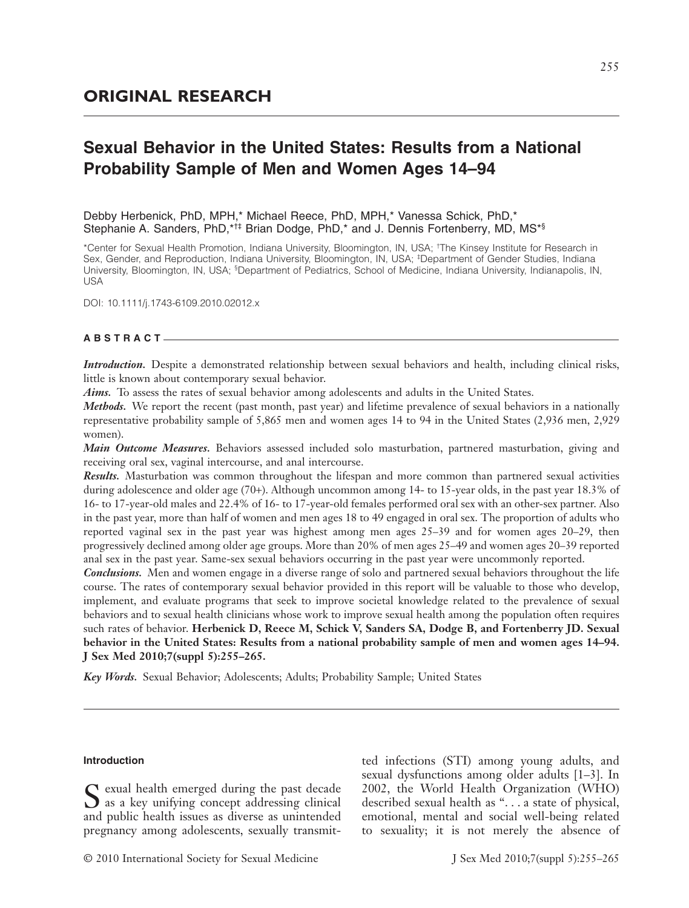# **Sexual Behavior in the United States: Results from a National Probability Sample of Men and Women Ages 14-94**

Debby Herbenick, PhD, MPH,\* Michael Reece, PhD, MPH,\* Vanessa Schick, PhD,\* Stephanie A. Sanders, PhD,\*<sup>†‡</sup> Brian Dodge, PhD,\* and J. Dennis Fortenberry, MD, MS<sup>\*§</sup>

\*Center for Sexual Health Promotion, Indiana University, Bloomington, IN, USA; † The Kinsey Institute for Research in Sex, Gender, and Reproduction, Indiana University, Bloomington, IN, USA; <sup>‡</sup>Department of Gender Studies, Indiana University, Bloomington, IN, USA; <sup>§</sup>Department of Pediatrics, School of Medicine, Indiana University, Indianapolis, IN, USA

DOI: 10.1111/j.1743-6109.2010.02012.x

### **ABSTRACT**

*Introduction.* Despite a demonstrated relationship between sexual behaviors and health, including clinical risks, little is known about contemporary sexual behavior.

*Aims.* To assess the rates of sexual behavior among adolescents and adults in the United States.

*Methods.* We report the recent (past month, past year) and lifetime prevalence of sexual behaviors in a nationally representative probability sample of 5,865 men and women ages 14 to 94 in the United States (2,936 men, 2,929 women).

*Main Outcome Measures.* Behaviors assessed included solo masturbation, partnered masturbation, giving and receiving oral sex, vaginal intercourse, and anal intercourse.

*Results.* Masturbation was common throughout the lifespan and more common than partnered sexual activities during adolescence and older age (70+). Although uncommon among 14- to 15-year olds, in the past year 18.3% of 16- to 17-year-old males and 22.4% of 16- to 17-year-old females performed oral sex with an other-sex partner. Also in the past year, more than half of women and men ages 18 to 49 engaged in oral sex. The proportion of adults who reported vaginal sex in the past year was highest among men ages 25–39 and for women ages 20–29, then progressively declined among older age groups. More than 20% of men ages 25–49 and women ages 20–39 reported anal sex in the past year. Same-sex sexual behaviors occurring in the past year were uncommonly reported.

*Conclusions.* Men and women engage in a diverse range of solo and partnered sexual behaviors throughout the life course. The rates of contemporary sexual behavior provided in this report will be valuable to those who develop, implement, and evaluate programs that seek to improve societal knowledge related to the prevalence of sexual behaviors and to sexual health clinicians whose work to improve sexual health among the population often requires such rates of behavior. **Herbenick D, Reece M, Schick V, Sanders SA, Dodge B, and Fortenberry JD. Sexual behavior in the United States: Results from a national probability sample of men and women ages 14–94. J Sex Med 2010;7(suppl 5):255–265.**

*Key Words.* Sexual Behavior; Adolescents; Adults; Probability Sample; United States

# **Introduction**

Sexual health emerged during the past decade<br>as a key unifying concept addressing clinical<br>and multiple health ignore as disperse to unintended and public health issues as diverse as unintended pregnancy among adolescents, sexually transmitted infections (STI) among young adults, and sexual dysfunctions among older adults [1–3]. In 2002, the World Health Organization (WHO) described sexual health as "...a state of physical, emotional, mental and social well-being related to sexuality; it is not merely the absence of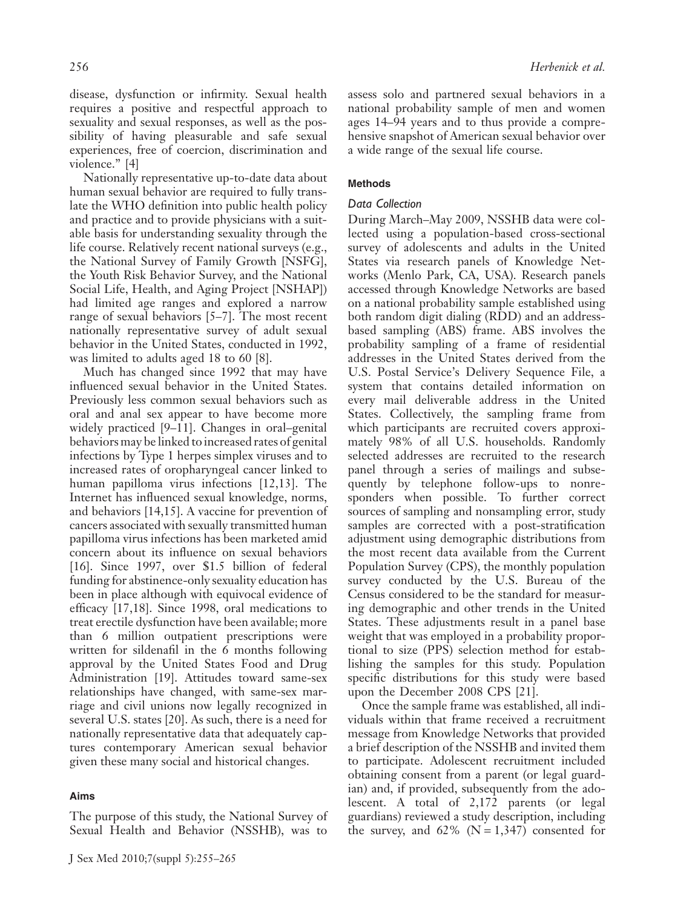disease, dysfunction or infirmity. Sexual health requires a positive and respectful approach to sexuality and sexual responses, as well as the possibility of having pleasurable and safe sexual experiences, free of coercion, discrimination and violence." [4]

Nationally representative up-to-date data about human sexual behavior are required to fully translate the WHO definition into public health policy and practice and to provide physicians with a suitable basis for understanding sexuality through the life course. Relatively recent national surveys (e.g., the National Survey of Family Growth [NSFG], the Youth Risk Behavior Survey, and the National Social Life, Health, and Aging Project [NSHAP]) had limited age ranges and explored a narrow range of sexual behaviors [5–7]. The most recent nationally representative survey of adult sexual behavior in the United States, conducted in 1992, was limited to adults aged 18 to 60 [8].

Much has changed since 1992 that may have influenced sexual behavior in the United States. Previously less common sexual behaviors such as oral and anal sex appear to have become more widely practiced [9–11]. Changes in oral–genital behaviors may be linked to increased rates of genital infections by Type 1 herpes simplex viruses and to increased rates of oropharyngeal cancer linked to human papilloma virus infections [12,13]. The Internet has influenced sexual knowledge, norms, and behaviors [14,15]. A vaccine for prevention of cancers associated with sexually transmitted human papilloma virus infections has been marketed amid concern about its influence on sexual behaviors [16]. Since 1997, over \$1.5 billion of federal funding for abstinence-only sexuality education has been in place although with equivocal evidence of efficacy [17,18]. Since 1998, oral medications to treat erectile dysfunction have been available; more than 6 million outpatient prescriptions were written for sildenafil in the 6 months following approval by the United States Food and Drug Administration [19]. Attitudes toward same-sex relationships have changed, with same-sex marriage and civil unions now legally recognized in several U.S. states [20]. As such, there is a need for nationally representative data that adequately captures contemporary American sexual behavior given these many social and historical changes.

# **Aims**

The purpose of this study, the National Survey of Sexual Health and Behavior (NSSHB), was to

assess solo and partnered sexual behaviors in a national probability sample of men and women ages 14–94 years and to thus provide a comprehensive snapshot of American sexual behavior over a wide range of the sexual life course.

# **Methods**

# *Data Collection*

During March–May 2009, NSSHB data were collected using a population-based cross-sectional survey of adolescents and adults in the United States via research panels of Knowledge Networks (Menlo Park, CA, USA). Research panels accessed through Knowledge Networks are based on a national probability sample established using both random digit dialing (RDD) and an addressbased sampling (ABS) frame. ABS involves the probability sampling of a frame of residential addresses in the United States derived from the U.S. Postal Service's Delivery Sequence File, a system that contains detailed information on every mail deliverable address in the United States. Collectively, the sampling frame from which participants are recruited covers approximately 98% of all U.S. households. Randomly selected addresses are recruited to the research panel through a series of mailings and subsequently by telephone follow-ups to nonresponders when possible. To further correct sources of sampling and nonsampling error, study samples are corrected with a post-stratification adjustment using demographic distributions from the most recent data available from the Current Population Survey (CPS), the monthly population survey conducted by the U.S. Bureau of the Census considered to be the standard for measuring demographic and other trends in the United States. These adjustments result in a panel base weight that was employed in a probability proportional to size (PPS) selection method for establishing the samples for this study. Population specific distributions for this study were based upon the December 2008 CPS [21].

Once the sample frame was established, all individuals within that frame received a recruitment message from Knowledge Networks that provided a brief description of the NSSHB and invited them to participate. Adolescent recruitment included obtaining consent from a parent (or legal guardian) and, if provided, subsequently from the adolescent. A total of 2,172 parents (or legal guardians) reviewed a study description, including the survey, and  $62\%$  (N = 1,347) consented for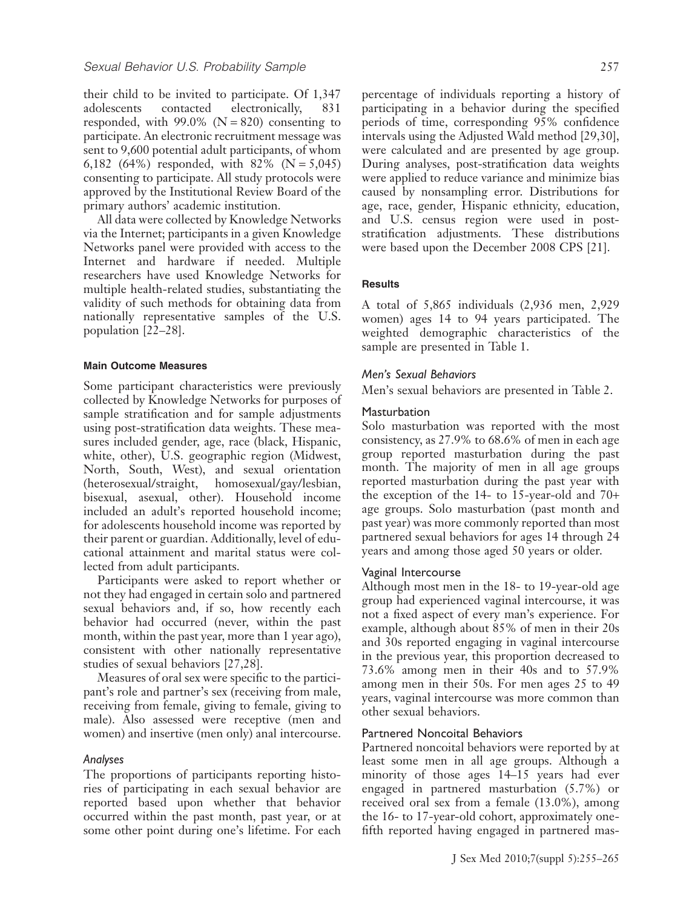their child to be invited to participate. Of 1,347 adolescents contacted electronically, 831 responded, with  $99.0\%$  (N = 820) consenting to participate. An electronic recruitment message was sent to 9,600 potential adult participants, of whom 6,182 (64%) responded, with 82% (N = 5,045) consenting to participate. All study protocols were approved by the Institutional Review Board of the primary authors' academic institution.

All data were collected by Knowledge Networks via the Internet; participants in a given Knowledge Networks panel were provided with access to the Internet and hardware if needed. Multiple researchers have used Knowledge Networks for multiple health-related studies, substantiating the validity of such methods for obtaining data from nationally representative samples of the U.S. population [22–28].

### **Main Outcome Measures**

Some participant characteristics were previously collected by Knowledge Networks for purposes of sample stratification and for sample adjustments using post-stratification data weights. These measures included gender, age, race (black, Hispanic, white, other), U.S. geographic region (Midwest, North, South, West), and sexual orientation (heterosexual/straight, homosexual/gay/lesbian, bisexual, asexual, other). Household income included an adult's reported household income; for adolescents household income was reported by their parent or guardian. Additionally, level of educational attainment and marital status were collected from adult participants.

Participants were asked to report whether or not they had engaged in certain solo and partnered sexual behaviors and, if so, how recently each behavior had occurred (never, within the past month, within the past year, more than 1 year ago), consistent with other nationally representative studies of sexual behaviors [27,28].

Measures of oral sex were specific to the participant's role and partner's sex (receiving from male, receiving from female, giving to female, giving to male). Also assessed were receptive (men and women) and insertive (men only) anal intercourse.

### *Analyses*

The proportions of participants reporting histories of participating in each sexual behavior are reported based upon whether that behavior occurred within the past month, past year, or at some other point during one's lifetime. For each

percentage of individuals reporting a history of participating in a behavior during the specified periods of time, corresponding 95% confidence intervals using the Adjusted Wald method [29,30], were calculated and are presented by age group. During analyses, post-stratification data weights were applied to reduce variance and minimize bias caused by nonsampling error. Distributions for age, race, gender, Hispanic ethnicity, education, and U.S. census region were used in poststratification adjustments. These distributions were based upon the December 2008 CPS [21].

### **Results**

A total of 5,865 individuals (2,936 men, 2,929 women) ages 14 to 94 years participated. The weighted demographic characteristics of the sample are presented in Table 1.

### *Men's Sexual Behaviors*

Men's sexual behaviors are presented in Table 2.

### Masturbation

Solo masturbation was reported with the most consistency, as 27.9% to 68.6% of men in each age group reported masturbation during the past month. The majority of men in all age groups reported masturbation during the past year with the exception of the 14- to 15-year-old and 70+ age groups. Solo masturbation (past month and past year) was more commonly reported than most partnered sexual behaviors for ages 14 through 24 years and among those aged 50 years or older.

### Vaginal Intercourse

Although most men in the 18- to 19-year-old age group had experienced vaginal intercourse, it was not a fixed aspect of every man's experience. For example, although about 85% of men in their 20s and 30s reported engaging in vaginal intercourse in the previous year, this proportion decreased to 73.6% among men in their 40s and to 57.9% among men in their 50s. For men ages 25 to 49 years, vaginal intercourse was more common than other sexual behaviors.

# Partnered Noncoital Behaviors

Partnered noncoital behaviors were reported by at least some men in all age groups. Although a minority of those ages 14–15 years had ever engaged in partnered masturbation (5.7%) or received oral sex from a female (13.0%), among the 16- to 17-year-old cohort, approximately onefifth reported having engaged in partnered mas-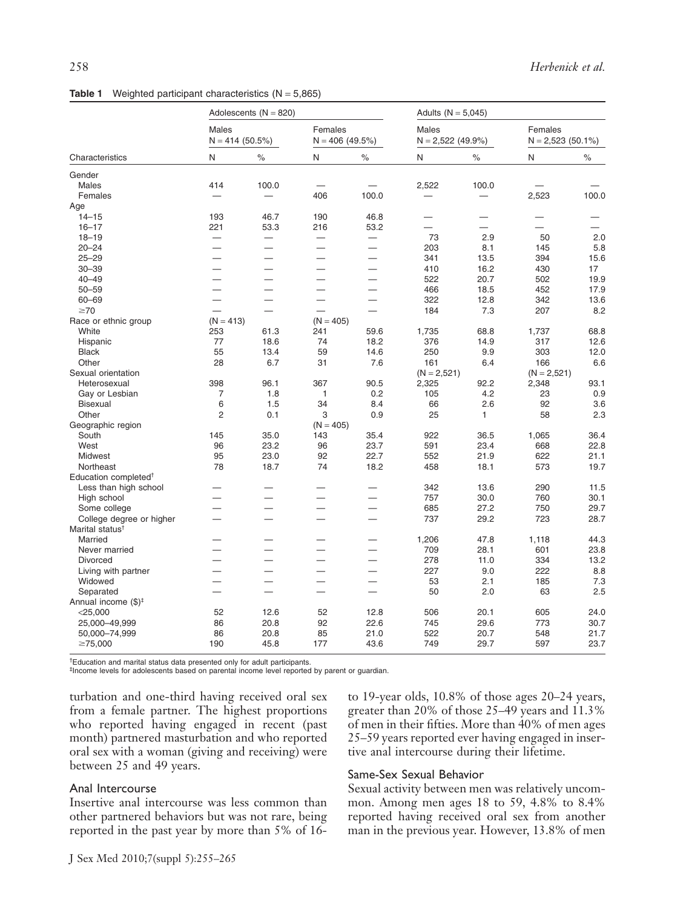|                                  |                                  | Adolescents $(N = 820)$  |                          |                                  | Adults ( $N = 5,045$ ) |                                     |               |                                |  |
|----------------------------------|----------------------------------|--------------------------|--------------------------|----------------------------------|------------------------|-------------------------------------|---------------|--------------------------------|--|
|                                  | <b>Males</b><br>$N = 414(50.5%)$ |                          |                          | Females<br>$N = 406$ (49.5%)     |                        | <b>Males</b><br>$N = 2,522$ (49.9%) |               | Females<br>$N = 2,523(50.1\%)$ |  |
| Characteristics                  | N                                | $\%$                     | N                        | $\%$                             | N                      | $\%$                                | N             | $\%$                           |  |
| Gender                           |                                  |                          |                          |                                  |                        |                                     |               |                                |  |
| <b>Males</b>                     | 414                              | 100.0                    |                          |                                  | 2,522                  | 100.0                               |               |                                |  |
| Females                          |                                  |                          | 406                      | 100.0                            |                        |                                     | 2,523         | 100.0                          |  |
| Age                              |                                  |                          |                          |                                  |                        |                                     |               |                                |  |
| $14 - 15$                        | 193                              | 46.7                     | 190                      | 46.8                             |                        |                                     |               |                                |  |
| $16 - 17$                        | 221                              | 53.3                     | 216                      | 53.2                             |                        |                                     |               |                                |  |
| $18 - 19$                        |                                  | —                        | $\overline{\phantom{0}}$ | $\overbrace{\phantom{12322111}}$ | 73                     | 2.9                                 | 50            | 2.0                            |  |
| $20 - 24$                        |                                  |                          |                          | $\overline{\phantom{0}}$         | 203                    | 8.1                                 | 145           | 5.8                            |  |
| $25 - 29$                        |                                  |                          |                          | $\overline{\phantom{0}}$         | 341                    | 13.5                                | 394           | 15.6                           |  |
| $30 - 39$                        |                                  |                          |                          |                                  | 410                    | 16.2                                | 430           | 17                             |  |
| $40 - 49$                        |                                  |                          |                          |                                  | 522                    | 20.7                                | 502           | 19.9                           |  |
| $50 - 59$                        |                                  |                          | $\overline{\phantom{0}}$ |                                  | 466                    | 18.5                                | 452           | 17.9                           |  |
| $60 - 69$                        |                                  |                          |                          |                                  | 322                    | 12.8                                | 342           | 13.6                           |  |
| $\geq 70$                        | $\overline{\phantom{0}}$         |                          |                          |                                  | 184                    | 7.3                                 | 207           | 8.2                            |  |
| Race or ethnic group             | $(N = 413)$                      |                          | $(N = 405)$              |                                  |                        |                                     |               |                                |  |
| White                            | 253                              | 61.3                     | 241                      | 59.6                             | 1,735                  | 68.8                                | 1,737         | 68.8                           |  |
| Hispanic                         | 77                               | 18.6                     | 74                       | 18.2                             | 376                    | 14.9                                | 317           | 12.6                           |  |
| <b>Black</b>                     | 55                               | 13.4                     | 59                       | 14.6                             | 250                    | 9.9                                 | 303           | 12.0                           |  |
| Other                            | 28                               | 6.7                      | 31                       | 7.6                              | 161                    | 6.4                                 | 166           | 6.6                            |  |
|                                  |                                  |                          |                          |                                  |                        |                                     |               |                                |  |
| Sexual orientation               |                                  |                          |                          |                                  | $(N = 2,521)$          |                                     | $(N = 2,521)$ |                                |  |
| Heterosexual                     | 398                              | 96.1                     | 367                      | 90.5                             | 2,325                  | 92.2                                | 2,348         | 93.1                           |  |
| Gay or Lesbian                   | 7                                | 1.8                      | 1                        | 0.2                              | 105                    | 4.2                                 | 23            | 0.9                            |  |
| <b>Bisexual</b>                  | 6                                | 1.5                      | 34                       | 8.4                              | 66                     | 2.6                                 | 92            | 3.6                            |  |
| Other                            | 2                                | 0.1                      | 3                        | 0.9                              | 25                     | $\mathbf{1}$                        | 58            | 2.3                            |  |
| Geographic region                |                                  |                          | $(N = 405)$              |                                  |                        |                                     |               |                                |  |
| South                            | 145                              | 35.0                     | 143                      | 35.4                             | 922                    | 36.5                                | 1,065         | 36.4                           |  |
| West                             | 96                               | 23.2                     | 96                       | 23.7                             | 591                    | 23.4                                | 668           | 22.8                           |  |
| <b>Midwest</b>                   | 95                               | 23.0                     | 92                       | 22.7                             | 552                    | 21.9                                | 622           | 21.1                           |  |
| Northeast                        | 78                               | 18.7                     | 74                       | 18.2                             | 458                    | 18.1                                | 573           | 19.7                           |  |
| Education completed <sup>†</sup> |                                  |                          |                          |                                  |                        |                                     |               |                                |  |
| Less than high school            |                                  |                          |                          |                                  | 342                    | 13.6                                | 290           | 11.5                           |  |
| High school                      |                                  | $\overline{\phantom{0}}$ |                          |                                  | 757                    | 30.0                                | 760           | 30.1                           |  |
| Some college                     |                                  |                          |                          |                                  | 685                    | 27.2                                | 750           | 29.7                           |  |
| College degree or higher         |                                  |                          |                          |                                  | 737                    | 29.2                                | 723           | 28.7                           |  |
| Marital status <sup>†</sup>      |                                  |                          |                          |                                  |                        |                                     |               |                                |  |
| Married                          |                                  |                          |                          |                                  | 1,206                  | 47.8                                | 1,118         | 44.3                           |  |
| Never married                    |                                  | $\overline{\phantom{0}}$ | $\overline{\phantom{0}}$ |                                  | 709                    | 28.1                                | 601           | 23.8                           |  |
| <b>Divorced</b>                  | ╾                                | $\overline{\phantom{0}}$ | $\overline{\phantom{0}}$ |                                  | 278                    | 11.0                                | 334           | 13.2                           |  |
| Living with partner              |                                  | $\overline{\phantom{0}}$ |                          |                                  | 227                    | 9.0                                 | 222           | 8.8                            |  |
| Widowed                          |                                  | $\overline{\phantom{0}}$ |                          |                                  | 53                     | 2.1                                 | 185           | 7.3                            |  |
| Separated                        |                                  |                          |                          |                                  | 50                     | 2.0                                 | 63            | 2.5                            |  |
| Annual income $(\$)^{\ddagger}$  |                                  |                          |                          |                                  |                        |                                     |               |                                |  |
| $<$ 25,000                       | 52                               | 12.6                     | 52                       | 12.8                             | 506                    | 20.1                                | 605           | 24.0                           |  |
| 25,000-49,999                    | 86                               | 20.8                     | 92                       | 22.6                             | 745                    | 29.6                                | 773           | 30.7                           |  |
|                                  |                                  |                          |                          |                                  |                        |                                     |               |                                |  |
| 50,000-74,999                    | 86                               | 20.8                     | 85                       | 21.0                             | 522                    | 20.7                                | 548           | 21.7                           |  |
| ≥75,000                          | 190                              | 45.8                     | 177                      | 43.6                             | 749                    | 29.7                                | 597           | 23.7                           |  |

**Table 1** Weighted participant characteristics  $(N = 5,865)$ 

†Education and marital status data presented only for adult participants. ‡Income levels for adolescents based on parental income level reported by parent or guardian.

turbation and one-third having received oral sex from a female partner. The highest proportions who reported having engaged in recent (past month) partnered masturbation and who reported oral sex with a woman (giving and receiving) were between 25 and 49 years.

# Anal Intercourse

Insertive anal intercourse was less common than other partnered behaviors but was not rare, being reported in the past year by more than 5% of 16-

to 19-year olds, 10.8% of those ages 20–24 years, greater than 20% of those 25–49 years and 11.3% of men in their fifties. More than 40% of men ages 25–59 years reported ever having engaged in insertive anal intercourse during their lifetime.

## Same-Sex Sexual Behavior

Sexual activity between men was relatively uncommon. Among men ages 18 to 59, 4.8% to 8.4% reported having received oral sex from another man in the previous year. However, 13.8% of men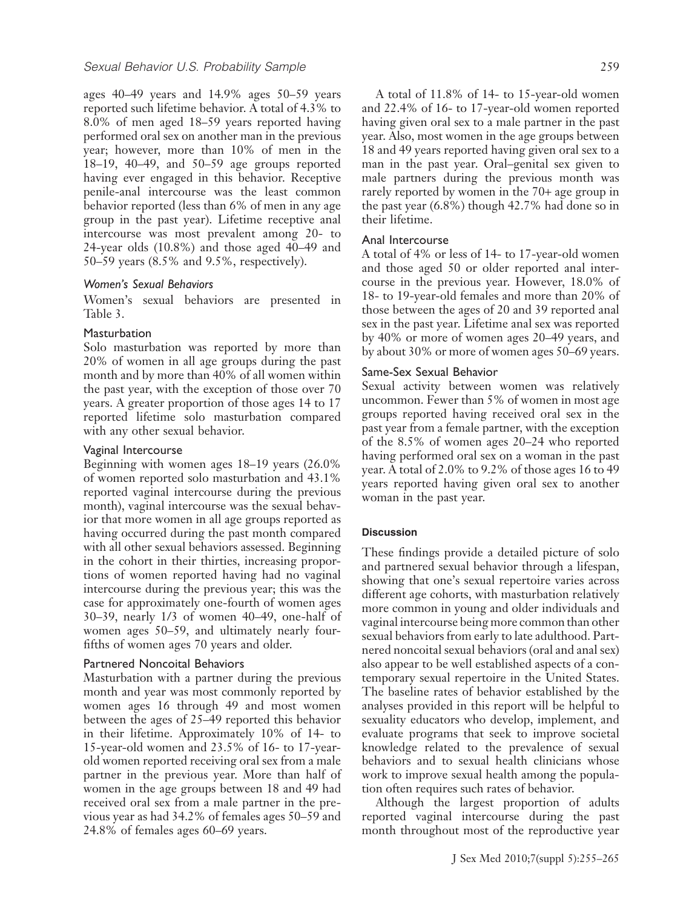ages 40–49 years and 14.9% ages 50–59 years reported such lifetime behavior. A total of 4.3% to 8.0% of men aged 18–59 years reported having performed oral sex on another man in the previous year; however, more than 10% of men in the 18–19, 40–49, and 50–59 age groups reported having ever engaged in this behavior. Receptive penile-anal intercourse was the least common behavior reported (less than 6% of men in any age group in the past year). Lifetime receptive anal intercourse was most prevalent among 20- to 24-year olds (10.8%) and those aged 40–49 and 50–59 years (8.5% and 9.5%, respectively).

## *Women's Sexual Behaviors*

Women's sexual behaviors are presented in Table 3.

### Masturbation

Solo masturbation was reported by more than 20% of women in all age groups during the past month and by more than 40% of all women within the past year, with the exception of those over 70 years. A greater proportion of those ages 14 to 17 reported lifetime solo masturbation compared with any other sexual behavior.

#### Vaginal Intercourse

Beginning with women ages 18–19 years (26.0% of women reported solo masturbation and 43.1% reported vaginal intercourse during the previous month), vaginal intercourse was the sexual behavior that more women in all age groups reported as having occurred during the past month compared with all other sexual behaviors assessed. Beginning in the cohort in their thirties, increasing proportions of women reported having had no vaginal intercourse during the previous year; this was the case for approximately one-fourth of women ages 30–39, nearly 1/3 of women 40–49, one-half of women ages 50–59, and ultimately nearly fourfifths of women ages 70 years and older.

### Partnered Noncoital Behaviors

Masturbation with a partner during the previous month and year was most commonly reported by women ages 16 through 49 and most women between the ages of 25–49 reported this behavior in their lifetime. Approximately 10% of 14- to 15-year-old women and 23.5% of 16- to 17-yearold women reported receiving oral sex from a male partner in the previous year. More than half of women in the age groups between 18 and 49 had received oral sex from a male partner in the previous year as had 34.2% of females ages 50–59 and 24.8% of females ages 60–69 years.

A total of 11.8% of 14- to 15-year-old women and 22.4% of 16- to 17-year-old women reported having given oral sex to a male partner in the past year. Also, most women in the age groups between 18 and 49 years reported having given oral sex to a man in the past year. Oral–genital sex given to male partners during the previous month was rarely reported by women in the 70+ age group in the past year (6.8%) though 42.7% had done so in their lifetime.

### Anal Intercourse

A total of 4% or less of 14- to 17-year-old women and those aged 50 or older reported anal intercourse in the previous year. However, 18.0% of 18- to 19-year-old females and more than 20% of those between the ages of 20 and 39 reported anal sex in the past year. Lifetime anal sex was reported by 40% or more of women ages 20–49 years, and by about 30% or more of women ages 50–69 years.

### Same-Sex Sexual Behavior

Sexual activity between women was relatively uncommon. Fewer than 5% of women in most age groups reported having received oral sex in the past year from a female partner, with the exception of the 8.5% of women ages 20–24 who reported having performed oral sex on a woman in the past year. A total of 2.0% to 9.2% of those ages 16 to 49 years reported having given oral sex to another woman in the past year.

#### **Discussion**

These findings provide a detailed picture of solo and partnered sexual behavior through a lifespan, showing that one's sexual repertoire varies across different age cohorts, with masturbation relatively more common in young and older individuals and vaginal intercourse being more common than other sexual behaviors from early to late adulthood. Partnered noncoital sexual behaviors (oral and anal sex) also appear to be well established aspects of a contemporary sexual repertoire in the United States. The baseline rates of behavior established by the analyses provided in this report will be helpful to sexuality educators who develop, implement, and evaluate programs that seek to improve societal knowledge related to the prevalence of sexual behaviors and to sexual health clinicians whose work to improve sexual health among the population often requires such rates of behavior.

Although the largest proportion of adults reported vaginal intercourse during the past month throughout most of the reproductive year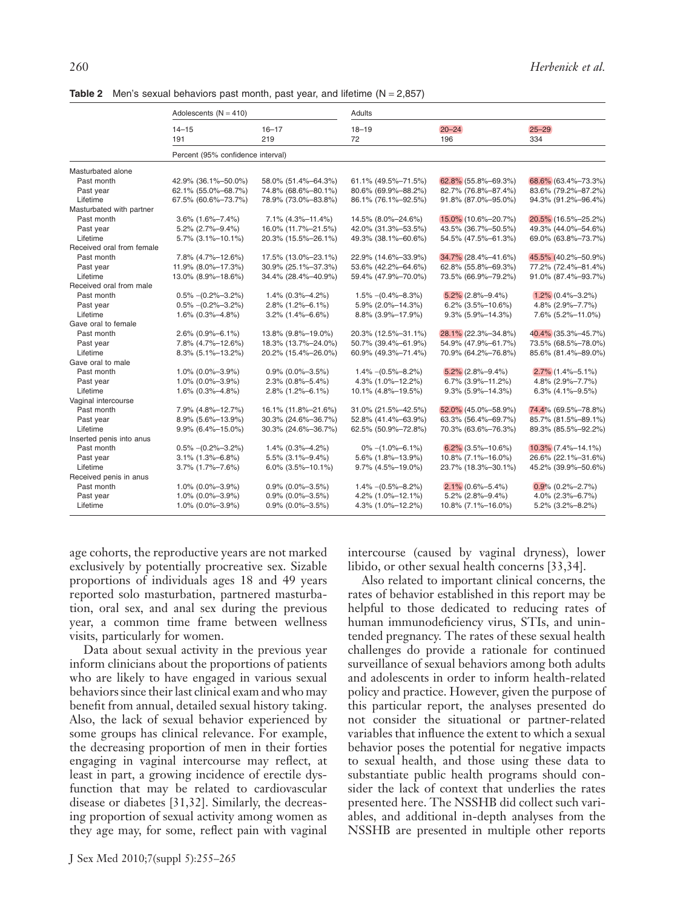|                           | Adolescents $(N = 410)$           |                      | Adults                    |                      |                            |  |  |
|---------------------------|-----------------------------------|----------------------|---------------------------|----------------------|----------------------------|--|--|
|                           | $14 - 15$                         | $16 - 17$            | $18 - 19$                 | $20 - 24$            | $25 - 29$                  |  |  |
|                           | 191                               | 219                  | 72                        | 196                  | 334                        |  |  |
|                           | Percent (95% confidence interval) |                      |                           |                      |                            |  |  |
| Masturbated alone         |                                   |                      |                           |                      |                            |  |  |
| Past month                | 42.9% (36.1%-50.0%)               | 58.0% (51.4%-64.3%)  | 61.1% (49.5%-71.5%)       | 62.8% (55.8%-69.3%)  | 68.6% (63.4%-73.3%)        |  |  |
| Past year                 | 62.1% (55.0%-68.7%)               | 74.8% (68.6%-80.1%)  | 80.6% (69.9%-88.2%)       | 82.7% (76.8%-87.4%)  | 83.6% (79.2%-87.2%)        |  |  |
| Lifetime                  | 67.5% (60.6%-73.7%)               | 78.9% (73.0%-83.8%)  | 86.1% (76.1%-92.5%)       | 91.8% (87.0%-95.0%)  | 94.3% (91.2%-96.4%)        |  |  |
| Masturbated with partner  |                                   |                      |                           |                      |                            |  |  |
| Past month                | 3.6% (1.6%-7.4%)                  | $7.1\%$ (4.3%-11.4%) | 14.5% (8.0%-24.6%)        | 15.0% (10.6%-20.7%)  | 20.5% (16.5%-25.2%)        |  |  |
| Past year                 | 5.2% (2.7%-9.4%)                  | 16.0% (11.7%-21.5%)  | 42.0% (31.3%-53.5%)       | 43.5% (36.7%-50.5%)  | 49.3% (44.0%-54.6%)        |  |  |
| Lifetime                  | 5.7% (3.1%-10.1%)                 | 20.3% (15.5%-26.1%)  | 49.3% (38.1%-60.6%)       | 54.5% (47.5%-61.3%)  | 69.0% (63.8%-73.7%)        |  |  |
| Received oral from female |                                   |                      |                           |                      |                            |  |  |
| Past month                | 7.8% (4.7%-12.6%)                 | 17.5% (13.0%-23.1%)  | 22.9% (14.6%-33.9%)       | 34.7% (28.4%-41.6%)  | 45.5% (40.2%-50.9%)        |  |  |
| Past year                 | 11.9% (8.0%-17.3%)                | 30.9% (25.1%-37.3%)  | 53.6% (42.2%-64.6%)       | 62.8% (55.8%-69.3%)  | 77.2% (72.4%-81.4%)        |  |  |
| Lifetime                  | 13.0% (8.9%-18.6%)                | 34.4% (28.4%-40.9%)  | 59.4% (47.9%-70.0%)       | 73.5% (66.9%-79.2%)  | 91.0% (87.4%-93.7%)        |  |  |
| Received oral from male   |                                   |                      |                           |                      |                            |  |  |
| Past month                | $0.5\% - (0.2\% - 3.2\%)$         | $1.4\%$ (0.3%-4.2%)  | $1.5\% - (0.4\% - 8.3\%)$ | $5.2\%$ (2.8%-9.4%)  | $1.2\%$ (0.4%-3.2%)        |  |  |
| Past year                 | $0.5\% - (0.2\% - 3.2\%)$         | 2.8% (1.2%-6.1%)     | 5.9% (2.0%-14.3%)         | 6.2% (3.5%-10.6%)    | 4.8% (2.9%-7.7%)           |  |  |
| Lifetime                  | $1.6\%$ (0.3%-4.8%)               | $3.2\%$ (1.4%-6.6%)  | 8.8% (3.9%-17.9%)         | $9.3\%$ (5.9%-14.3%) | 7.6% (5.2%-11.0%)          |  |  |
| Gave oral to female       |                                   |                      |                           |                      |                            |  |  |
| Past month                | 2.6% (0.9%-6.1%)                  | 13.8% (9.8%-19.0%)   | 20.3% (12.5%-31.1%)       | 28.1% (22.3%-34.8%)  | 40.4% (35.3%-45.7%)        |  |  |
| Past year                 | 7.8% (4.7%-12.6%)                 | 18.3% (13.7%-24.0%)  | 50.7% (39.4%-61.9%)       | 54.9% (47.9%-61.7%)  | 73.5% (68.5%-78.0%)        |  |  |
| Lifetime                  | 8.3% (5.1%-13.2%)                 | 20.2% (15.4%-26.0%)  | 60.9% (49.3%-71.4%)       | 70.9% (64.2%-76.8%)  | 85.6% (81.4%-89.0%)        |  |  |
| Gave oral to male         |                                   |                      |                           |                      |                            |  |  |
| Past month                | 1.0% (0.0%-3.9%)                  | $0.9\%$ (0.0%-3.5%)  | $1.4\% - (0.5\% - 8.2\%)$ | $5.2\%$ (2.8%-9.4%)  | $2.7\%$ (1.4%-5.1%)        |  |  |
| Past year                 | 1.0% (0.0%-3.9%)                  | $2.3\%$ (0.8%-5.4%)  | 4.3% (1.0%-12.2%)         | 6.7% (3.9%-11.2%)    | 4.8% (2.9%-7.7%)           |  |  |
| Lifetime                  | $1.6\%$ (0.3%-4.8%)               | $2.8\%$ (1.2%-6.1%)  | 10.1% (4.8%-19.5%)        | 9.3% (5.9%-14.3%)    | $6.3\%$ (4.1%-9.5%)        |  |  |
| Vaginal intercourse       |                                   |                      |                           |                      |                            |  |  |
| Past month                | 7.9% (4.8%-12.7%)                 | 16.1% (11.8%-21.6%)  | 31.0% (21.5%-42.5%)       | 52.0% (45.0%-58.9%)  | 74.4% (69.5%-78.8%)        |  |  |
| Past year                 | 8.9% (5.6%-13.9%)                 | 30.3% (24.6%-36.7%)  | 52.8% (41.4%-63.9%)       | 63.3% (56.4%-69.7%)  | 85.7% (81.5%-89.1%)        |  |  |
| Lifetime                  | 9.9% (6.4%-15.0%)                 | 30.3% (24.6%-36.7%)  | 62.5% (50.9%-72.8%)       | 70.3% (63.6%-76.3%)  | 89.3% (85.5%-92.2%)        |  |  |
| Inserted penis into anus  |                                   |                      |                           |                      |                            |  |  |
| Past month                | $0.5\% - (0.2\% - 3.2\%)$         | $1.4\%$ (0.3%-4.2%)  | $0\% - (1.0\% - 6.1\%)$   | $6.2\%$ (3.5%-10.6%) | 10.3% (7.4%-14.1%)         |  |  |
| Past year                 | $3.1\%$ (1.3%-6.8%)               | $5.5\%$ (3.1%-9.4%)  | 5.6% (1.8%-13.9%)         | 10.8% (7.1%-16.0%)   | 26.6% (22.1%-31.6%)        |  |  |
| Lifetime                  | 3.7% (1.7%-7.6%)                  | $6.0\%$ (3.5%-10.1%) | 9.7% (4.5%-19.0%)         | 23.7% (18.3%-30.1%)  | 45.2% (39.9%-50.6%)        |  |  |
| Received penis in anus    |                                   |                      |                           |                      |                            |  |  |
| Past month                | 1.0% (0.0%-3.9%)                  | $0.9\%$ (0.0%-3.5%)  | $1.4\% - (0.5\% - 8.2\%)$ | $2.1\%$ (0.6%-5.4%)  | $0.9\%$ (0.2%-2.7%)        |  |  |
| Past year                 | $1.0\%$ (0.0%-3.9%)               | $0.9\%$ (0.0%-3.5%)  | 4.2% (1.0%-12.1%)         | $5.2\%$ (2.8%-9.4%)  | 4.0% $(2.3\text{%-6.7\%)}$ |  |  |
| Lifetime                  | 1.0% (0.0%-3.9%)                  | $0.9\%$ (0.0%-3.5%)  | 4.3% (1.0%-12.2%)         | 10.8% (7.1%-16.0%)   | $5.2\%$ (3.2%-8.2%)        |  |  |

**Table 2** Men's sexual behaviors past month, past year, and lifetime  $(N = 2,857)$ 

age cohorts, the reproductive years are not marked exclusively by potentially procreative sex. Sizable proportions of individuals ages 18 and 49 years reported solo masturbation, partnered masturbation, oral sex, and anal sex during the previous year, a common time frame between wellness visits, particularly for women.

Data about sexual activity in the previous year inform clinicians about the proportions of patients who are likely to have engaged in various sexual behaviors since their last clinical exam and who may benefit from annual, detailed sexual history taking. Also, the lack of sexual behavior experienced by some groups has clinical relevance. For example, the decreasing proportion of men in their forties engaging in vaginal intercourse may reflect, at least in part, a growing incidence of erectile dysfunction that may be related to cardiovascular disease or diabetes [31,32]. Similarly, the decreasing proportion of sexual activity among women as they age may, for some, reflect pain with vaginal intercourse (caused by vaginal dryness), lower libido, or other sexual health concerns [33,34].

Also related to important clinical concerns, the rates of behavior established in this report may be helpful to those dedicated to reducing rates of human immunodeficiency virus, STIs, and unintended pregnancy. The rates of these sexual health challenges do provide a rationale for continued surveillance of sexual behaviors among both adults and adolescents in order to inform health-related policy and practice. However, given the purpose of this particular report, the analyses presented do not consider the situational or partner-related variables that influence the extent to which a sexual behavior poses the potential for negative impacts to sexual health, and those using these data to substantiate public health programs should consider the lack of context that underlies the rates presented here. The NSSHB did collect such variables, and additional in-depth analyses from the NSSHB are presented in multiple other reports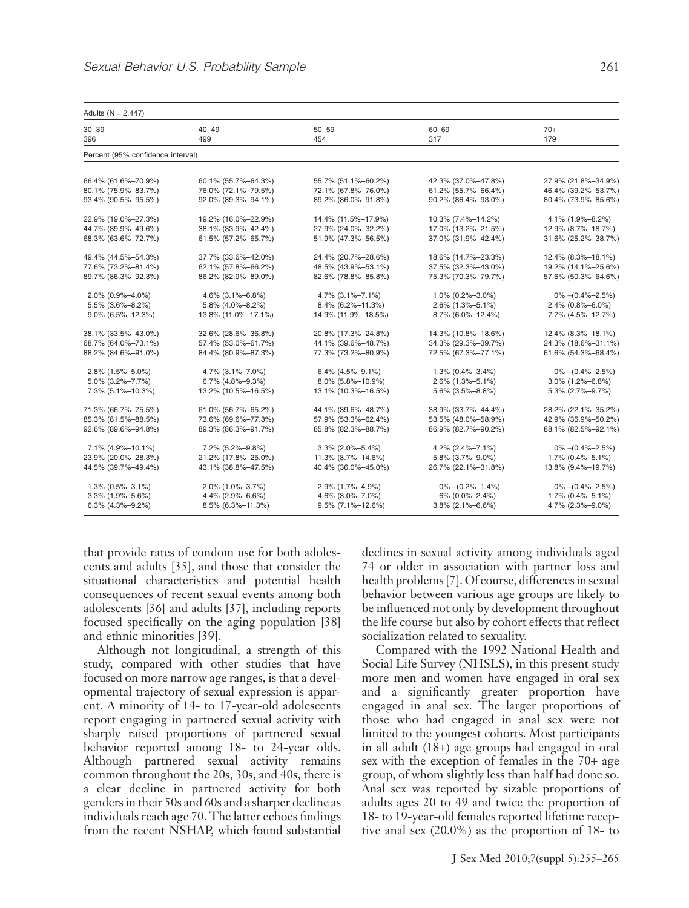| Adults (N = 2,447)                |                      |                      |                         |                         |  |  |
|-----------------------------------|----------------------|----------------------|-------------------------|-------------------------|--|--|
| $30 - 39$<br>396                  | $40 - 49$<br>499     | $50 - 59$<br>454     | $60 - 69$<br>317        | $70+$<br>179            |  |  |
| Percent (95% confidence interval) |                      |                      |                         |                         |  |  |
|                                   |                      |                      |                         |                         |  |  |
| 66.4% (61.6%-70.9%)               | 60.1% (55.7%-64.3%)  | 55.7% (51.1%-60.2%)  | 42.3% (37.0%-47.8%)     | 27.9% (21.8%–34.9%)     |  |  |
| 80.1% (75.9%-83.7%)               | 76.0% (72.1%-79.5%)  | 72.1% (67.8%-76.0%)  | 61.2% (55.7%-66.4%)     | 46.4% (39.2%–53.7%)     |  |  |
| 93.4% (90.5%—95.5%)               | 92.0% (89.3%–94.1%)  | 89.2% (86.0%–91.8%)  | $90.2\%$ (86.4%–93.0%)  | 80.4% (73.9%–85.6%)     |  |  |
| 22.9% (19.0%-27.3%)               | 19.2% (16.0%-22.9%)  | 14.4% (11.5%-17.9%)  | 10.3% (7.4%-14.2%)      | 4.1% (1.9%-8.2%)        |  |  |
| 44.7% (39.9%–49.6%)               | 38.1% (33.9%-42.4%)  | 27.9% (24.0%–32.2%)  | 17.0% (13.2%-21.5%)     | 12.9% (8.7%-18.7%)      |  |  |
| 68.3% (63.6%-72.7%)               | 61.5% (57.2%–65.7%)  | 51.9% (47.3%–56.5%)  | 37.0% (31.9%–42.4%)     | 31.6% (25.2%–38.7%)     |  |  |
| 49.4% (44.5%–54.3%)               | 37.7% (33.6%–42.0%)  | 24.4% (20.7%–28.6%)  | 18.6% (14.7%-23.3%)     | $12.4\%$ (8.3%–18.1%)   |  |  |
| 77.6% (73.2%–81.4%)               | 62.1% (57.8%-66.2%)  | 48.5% (43.9%-53.1%)  | 37.5% (32.3%–43.0%)     | 19.2% (14.1%-25.6%)     |  |  |
| 89.7% (86.3%–92.3%)               | 86.2% (82.9%-89.0%)  | 82.6% (78.8%–85.8%)  | 75.3% (70.3%–79.7%)     | 57.6% (50.3%–64.6%)     |  |  |
| $2.0\%$ (0.9%-4.0%)               | $4.6\%$ (3.1%-6.8%)  | $4.7\%$ (3.1%-7.1%)  | $1.0\%$ (0.2%-3.0%)     | $0\% - (0.4\% - 2.5\%)$ |  |  |
| $5.5\%$ (3.6%-8.2%)               | $5.8\%$ (4.0%-8.2%)  | $8.4\%$ (6.2%-11.3%) | $2.6\%$ (1.3%-5.1%)     | $2.4\%$ (0.8%-6.0%)     |  |  |
| $9.0\%$ (6.5%-12.3%)              | 13.8% (11.0%-17.1%)  | 14.9% (11.9%–18.5%)  | $8.7\%$ (6.0%-12.4%)    | $7.7\%$ (4.5%-12.7%)    |  |  |
| 38.1% (33.5%-43.0%)               | 32.6% (28.6%-36.8%)  | 20.8% (17.3%–24.8%)  | 14.3% (10.8%-18.6%)     | 12.4% (8.3%-18.1%)      |  |  |
| 68.7% (64.0%–73.1%)               | 57.4% (53.0%-61.7%)  | 44.1% (39.6%–48.7%)  | 34.3% (29.3%–39.7%)     | 24.3% (18.6%–31.1%)     |  |  |
| 88.2% (84.6%–91.0%)               | 84.4% (80.9%–87.3%)  | 77.3% (73.2%–80.9%)  | 72.5% (67.3%-77.1%)     | 61.6% (54.3%–68.4%)     |  |  |
| $2.8\%$ (1.5%-5.0%)               | $4.7\%$ (3.1%-7.0%)  | $6.4\%$ (4.5%-9.1%)  | $1.3\%$ (0.4%–3.4%)     | $0\% - (0.4\% - 2.5\%)$ |  |  |
| $5.0\%$ (3.2%-7.7%)               | $6.7\%$ (4.8%-9.3%)  | $8.0\%$ (5.8%-10.9%) | $2.6\%$ (1.3%-5.1%)     | $3.0\%$ (1.2%–6.8%)     |  |  |
| $7.3\%$ (5.1%-10.3%)              | 13.2% (10.5%–16.5%)  | 13.1% (10.3%–16.5%)  | $5.6\%$ (3.5%-8.8%)     | $5.3\%$ (2.7%-9.7%)     |  |  |
| 71.3% (66.7%–75.5%)               | 61.0% (56.7%-65.2%)  | 44.1% (39.6%–48.7%)  | 38.9% (33.7%-44.4%)     | 28.2% (22.1%–35.2%)     |  |  |
| 85.3% (81.5%–88.5%)               | 73.6% (69.6%-77.3%)  | 57.9% (53.3%–62.4%)  | 53.5% (48.0%-58.9%)     | 42.9% (35.9%–50.2%)     |  |  |
| 92.6% (89.6%–94.8%)               | 89.3% (86.3%–91.7%)  | 85.8% (82.3%–88.7%)  | 86.9% (82.7%-90.2%)     | 88.1% (82.5%–92.1%)     |  |  |
| $7.1\%$ (4.9%-10.1%)              | 7.2% (5.2%-9.8%)     | $3.3\%$ (2.0%-5.4%)  | 4.2% $(2.4\% - 7.1\%)$  | $0\% - (0.4\% - 2.5\%)$ |  |  |
| 23.9% (20.0%–28.3%)               | 21.2% (17.8%-25.0%)  | 11.3% (8.7%-14.6%)   | $5.8\%$ (3.7%-9.0%)     | $1.7\%$ (0.4%-5.1%)     |  |  |
| 44.5% (39.7%–49.4%)               | 43.1% (38.8%–47.5%)  | 40.4% (36.0%–45.0%)  | 26.7% (22.1%–31.8%)     | 13.8% (9.4%–19.7%)      |  |  |
| $1.3\%$ (0.5%-3.1%)               | $2.0\%$ (1.0%-3.7%)  | $2.9\%$ (1.7%–4.9%)  | $0\% - (0.2\% - 1.4\%)$ | $0\% - (0.4\% - 2.5\%)$ |  |  |
| $3.3\%$ (1.9%-5.6%)               | $4.4\%$ (2.9%-6.6%)  | $4.6\%$ (3.0%-7.0%)  | 6% (0.0%–2.4%)          | $1.7\%$ (0.4%-5.1%)     |  |  |
| $6.3\%$ (4.3%-9.2%)               | $8.5\%$ (6.3%–11.3%) | $9.5\%$ (7.1%-12.6%) | 3.8% (2.1%–6.6%)        | $4.7\%$ (2.3%-9.0%)     |  |  |

that provide rates of condom use for both adolescents and adults [35], and those that consider the situational characteristics and potential health consequences of recent sexual events among both adolescents [36] and adults [37], including reports focused specifically on the aging population [38] and ethnic minorities [39].

Although not longitudinal, a strength of this study, compared with other studies that have focused on more narrow age ranges, is that a developmental trajectory of sexual expression is apparent. A minority of 14- to 17-year-old adolescents report engaging in partnered sexual activity with sharply raised proportions of partnered sexual behavior reported among 18- to 24-year olds. Although partnered sexual activity remains common throughout the 20s, 30s, and 40s, there is a clear decline in partnered activity for both genders in their 50s and 60s and a sharper decline as individuals reach age 70. The latter echoes findings from the recent NSHAP, which found substantial

declines in sexual activity among individuals aged 74 or older in association with partner loss and health problems [7]. Of course, differences in sexual behavior between various age groups are likely to be influenced not only by development throughout the life course but also by cohort effects that reflect socialization related to sexuality.

Compared with the 1992 National Health and Social Life Survey (NHSLS), in this present study more men and women have engaged in oral sex and a significantly greater proportion have engaged in anal sex. The larger proportions of those who had engaged in anal sex were not limited to the youngest cohorts. Most participants in all adult (18+) age groups had engaged in oral sex with the exception of females in the 70+ age group, of whom slightly less than half had done so. Anal sex was reported by sizable proportions of adults ages 20 to 49 and twice the proportion of 18- to 19-year-old females reported lifetime receptive anal sex (20.0%) as the proportion of 18- to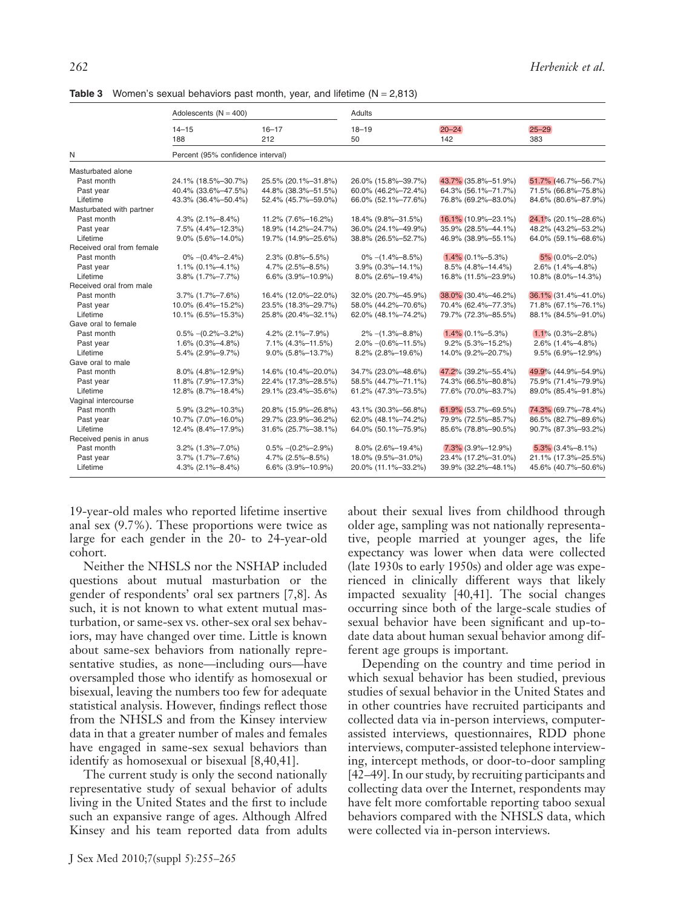|                           | Adolescents $(N = 400)$   |                                   | Adults                     |                        |                      |  |  |  |
|---------------------------|---------------------------|-----------------------------------|----------------------------|------------------------|----------------------|--|--|--|
|                           | $14 - 15$                 | $16 - 17$                         | $18 - 19$                  | $20 - 24$              | $25 - 29$            |  |  |  |
|                           | 188                       | 212                               | 50                         | 142                    | 383                  |  |  |  |
| N                         |                           | Percent (95% confidence interval) |                            |                        |                      |  |  |  |
| Masturbated alone         |                           |                                   |                            |                        |                      |  |  |  |
| Past month                | 24.1% (18.5%-30.7%)       | 25.5% (20.1%-31.8%)               | 26.0% (15.8%-39.7%)        | 43.7% (35.8%-51.9%)    | 51.7% (46.7%-56.7%)  |  |  |  |
| Past year                 | 40.4% (33.6%-47.5%)       | 44.8% (38.3%-51.5%)               | 60.0% (46.2%-72.4%)        | 64.3% (56.1%-71.7%)    | 71.5% (66.8%-75.8%)  |  |  |  |
| Lifetime                  | 43.3% (36.4%-50.4%)       | 52.4% (45.7%-59.0%)               | 66.0% (52.1%-77.6%)        | 76.8% (69.2%-83.0%)    | 84.6% (80.6%-87.9%)  |  |  |  |
| Masturbated with partner  |                           |                                   |                            |                        |                      |  |  |  |
| Past month                | $4.3\%$ (2.1%-8.4%)       | 11.2% (7.6%-16.2%)                | 18.4% (9.8%-31.5%)         | 16.1% (10.9%-23.1%)    | 24.1% (20.1%-28.6%)  |  |  |  |
| Past year                 | 7.5% (4.4%-12.3%)         | 18.9% (14.2%-24.7%)               | 36.0% (24.1%-49.9%)        | 35.9% (28.5%-44.1%)    | 48.2% (43.2%-53.2%)  |  |  |  |
| Lifetime                  | $9.0\%$ (5.6%-14.0%)      | 19.7% (14.9%-25.6%)               | 38.8% (26.5%-52.7%)        | 46.9% (38.9%-55.1%)    | 64.0% (59.1%-68.6%)  |  |  |  |
| Received oral from female |                           |                                   |                            |                        |                      |  |  |  |
| Past month                | $0\% - (0.4\% - 2.4\%)$   | $2.3\%$ (0.8%-5.5%)               | $0\% - (1.4\% - 8.5\%)$    | $1.4\%$ (0.1%-5.3%)    | $5\%$ (0.0%-2.0%)    |  |  |  |
| Past year                 | $1.1\%$ (0.1%-4.1%)       | 4.7% (2.5%-8.5%)                  | 3.9% (0.3%-14.1%)          | $8.5\%$ (4.8%-14.4%)   | $2.6\%$ (1.4%-4.8%)  |  |  |  |
| Lifetime                  | $3.8\%$ (1.7%-7.7%)       | $6.6\%$ (3.9%-10.9%)              | 8.0% (2.6%-19.4%)          | 16.8% (11.5%-23.9%)    | 10.8% (8.0%-14.3%)   |  |  |  |
| Received oral from male   |                           |                                   |                            |                        |                      |  |  |  |
| Past month                | $3.7\%$ (1.7%-7.6%)       | 16.4% (12.0%-22.0%)               | 32.0% (20.7%-45.9%)        | 38.0% (30.4%-46.2%)    | 36.1% (31.4%-41.0%)  |  |  |  |
| Past year                 | 10.0% (6.4%-15.2%)        | 23.5% (18.3%-29.7%)               | 58.0% (44.2%-70.6%)        | 70.4% (62.4%-77.3%)    | 71.8% (67.1%-76.1%)  |  |  |  |
| Lifetime                  | 10.1% (6.5%-15.3%)        | 25.8% (20.4%-32.1%)               | 62.0% (48.1%-74.2%)        | 79.7% (72.3%-85.5%)    | 88.1% (84.5%-91.0%)  |  |  |  |
| Gave oral to female       |                           |                                   |                            |                        |                      |  |  |  |
| Past month                | $0.5\% - (0.2\% - 3.2\%)$ | 4.2% (2.1%-7.9%)                  | $2\% - (1.3\% - 8.8\%)$    | $1.4\%$ (0.1%-5.3%)    | $1.1\%$ (0.3%-2.8%)  |  |  |  |
| Past year                 | $1.6\%$ (0.3%-4.8%)       | 7.1% (4.3%-11.5%)                 | $2.0\% - (0.6\% - 11.5\%)$ | 9.2% (5.3%-15.2%)      | $2.6\%$ (1.4%-4.8%)  |  |  |  |
| Lifetime                  | $5.4\%$ (2.9%-9.7%)       | $9.0\%$ (5.8%-13.7%)              | 8.2% (2.8%-19.6%)          | 14.0% (9.2%-20.7%)     | $9.5\%$ (6.9%-12.9%) |  |  |  |
| Gave oral to male         |                           |                                   |                            |                        |                      |  |  |  |
| Past month                | 8.0% (4.8%-12.9%)         | 14.6% (10.4%-20.0%)               | 34.7% (23.0%-48.6%)        | 47.2% (39.2%-55.4%)    | 49.9% (44.9%-54.9%)  |  |  |  |
| Past year                 | 11.8% (7.9%-17.3%)        | 22.4% (17.3%-28.5%)               | 58.5% (44.7%-71.1%)        | 74.3% (66.5%-80.8%)    | 75.9% (71.4%-79.9%)  |  |  |  |
| Lifetime                  | 12.8% (8.7%-18.4%)        | 29.1% (23.4%-35.6%)               | 61.2% (47.3%-73.5%)        | 77.6% (70.0%-83.7%)    | 89.0% (85.4%-91.8%)  |  |  |  |
| Vaginal intercourse       |                           |                                   |                            |                        |                      |  |  |  |
| Past month                | 5.9% (3.2%-10.3%)         | 20.8% (15.9%-26.8%)               | 43.1% (30.3%-56.8%)        | $61.9\%$ (53.7%-69.5%) | 74.3% (69.7%-78.4%)  |  |  |  |
| Past year                 | 10.7% (7.0%-16.0%)        | 29.7% (23.9%-36.2%)               | 62.0% (48.1%-74.2%)        | 79.9% (72.5%-85.7%)    | 86.5% (82.7%-89.6%)  |  |  |  |
| Lifetime                  | 12.4% (8.4%-17.9%)        | 31.6% (25.7%-38.1%)               | 64.0% (50.1%-75.9%)        | 85.6% (78.8%-90.5%)    | 90.7% (87.3%-93.2%)  |  |  |  |
| Received penis in anus    |                           |                                   |                            |                        |                      |  |  |  |
| Past month                | $3.2\%$ (1.3%-7.0%)       | $0.5\% - (0.2\% - 2.9\%)$         | 8.0% (2.6%-19.4%)          | $7.3\%$ (3.9%-12.9%)   | $5.3\%$ (3.4%-8.1%)  |  |  |  |
| Past year                 | $3.7\%$ (1.7%-7.6%)       | 4.7% (2.5%-8.5%)                  | 18.0% (9.5%-31.0%)         | 23.4% (17.2%-31.0%)    | 21.1% (17.3%-25.5%)  |  |  |  |
| Lifetime                  | $4.3\%$ (2.1%-8.4%)       | 6.6% (3.9%-10.9%)                 | 20.0% (11.1%-33.2%)        | 39.9% (32.2%-48.1%)    | 45.6% (40.7%-50.6%)  |  |  |  |

**Table 3** Women's sexual behaviors past month, year, and lifetime  $(N = 2,813)$ 

19-year-old males who reported lifetime insertive anal sex (9.7%). These proportions were twice as large for each gender in the 20- to 24-year-old cohort.

Neither the NHSLS nor the NSHAP included questions about mutual masturbation or the gender of respondents' oral sex partners [7,8]. As such, it is not known to what extent mutual masturbation, or same-sex vs. other-sex oral sex behaviors, may have changed over time. Little is known about same-sex behaviors from nationally representative studies, as none—including ours—have oversampled those who identify as homosexual or bisexual, leaving the numbers too few for adequate statistical analysis. However, findings reflect those from the NHSLS and from the Kinsey interview data in that a greater number of males and females have engaged in same-sex sexual behaviors than identify as homosexual or bisexual [8,40,41].

The current study is only the second nationally representative study of sexual behavior of adults living in the United States and the first to include such an expansive range of ages. Although Alfred Kinsey and his team reported data from adults

about their sexual lives from childhood through older age, sampling was not nationally representative, people married at younger ages, the life expectancy was lower when data were collected (late 1930s to early 1950s) and older age was experienced in clinically different ways that likely impacted sexuality [40,41]. The social changes occurring since both of the large-scale studies of sexual behavior have been significant and up-todate data about human sexual behavior among different age groups is important.

Depending on the country and time period in which sexual behavior has been studied, previous studies of sexual behavior in the United States and in other countries have recruited participants and collected data via in-person interviews, computerassisted interviews, questionnaires, RDD phone interviews, computer-assisted telephone interviewing, intercept methods, or door-to-door sampling [42–49]. In our study, by recruiting participants and collecting data over the Internet, respondents may have felt more comfortable reporting taboo sexual behaviors compared with the NHSLS data, which were collected via in-person interviews.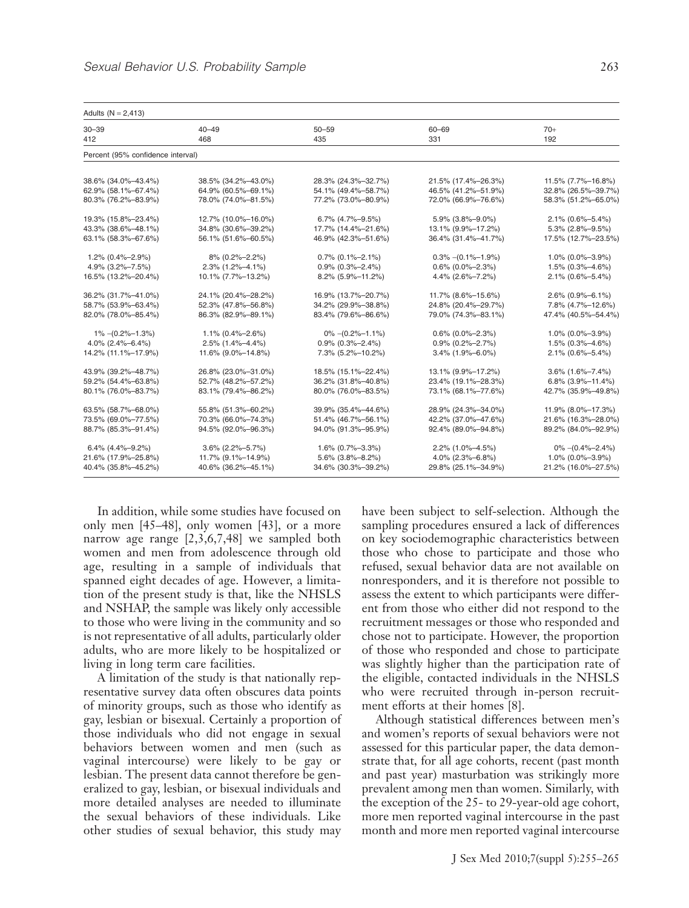| Adults $(N = 2,413)$              |                     |                         |                           |                         |  |  |
|-----------------------------------|---------------------|-------------------------|---------------------------|-------------------------|--|--|
| $30 - 39$                         | $40 - 49$           | $50 - 59$               | $60 - 69$                 | $70+$                   |  |  |
| 412                               | 468                 | 435                     | 331                       | 192                     |  |  |
| Percent (95% confidence interval) |                     |                         |                           |                         |  |  |
| 38.6% (34.0%-43.4%)               | 38.5% (34.2%-43.0%) | 28.3% (24.3%-32.7%)     | 21.5% (17.4%-26.3%)       | 11.5% (7.7%-16.8%)      |  |  |
| 62.9% (58.1%-67.4%)               | 64.9% (60.5%-69.1%) | 54.1% (49.4%-58.7%)     | 46.5% (41.2%-51.9%)       | 32.8% (26.5%-39.7%)     |  |  |
| 80.3% (76.2%-83.9%)               | 78.0% (74.0%-81.5%) | 77.2% (73.0%-80.9%)     | 72.0% (66.9%-76.6%)       | 58.3% (51.2%-65.0%)     |  |  |
| 19.3% (15.8%-23.4%)               | 12.7% (10.0%-16.0%) | $6.7\%$ (4.7%-9.5%)     | $5.9\%$ (3.8%-9.0%)       | $2.1\%$ (0.6%-5.4%)     |  |  |
| 43.3% (38.6%-48.1%)               | 34.8% (30.6%-39.2%) | 17.7% (14.4%-21.6%)     | 13.1% (9.9%-17.2%)        | $5.3\%$ (2.8%-9.5%)     |  |  |
| 63.1% (58.3%-67.6%)               | 56.1% (51.6%-60.5%) | 46.9% (42.3%-51.6%)     | 36.4% (31.4%-41.7%)       | 17.5% (12.7%-23.5%)     |  |  |
| $1.2\%$ (0.4%-2.9%)               | $8\%$ (0.2%-2.2%)   | $0.7\%$ (0.1%-2.1%)     | $0.3\% - (0.1\% - 1.9\%)$ | $1.0\%$ (0.0%-3.9%)     |  |  |
| 4.9% (3.2%-7.5%)                  | $2.3\%$ (1.2%-4.1%) | $0.9\%$ (0.3%-2.4%)     | $0.6\%$ (0.0%-2.3%)       | $1.5\%$ (0.3%-4.6%)     |  |  |
| 16.5% (13.2%-20.4%)               | 10.1% (7.7%-13.2%)  | $8.2\%$ (5.9%-11.2%)    | $4.4\%$ (2.6%-7.2%)       | 2.1% (0.6%-5.4%)        |  |  |
| 36.2% (31.7%-41.0%)               | 24.1% (20.4%-28.2%) | 16.9% (13.7%-20.7%)     | 11.7% (8.6%-15.6%)        | $2.6\%$ (0.9%-6.1%)     |  |  |
| 58.7% (53.9%-63.4%)               | 52.3% (47.8%-56.8%) | 34.2% (29.9%-38.8%)     | 24.8% (20.4%-29.7%)       | 7.8% (4.7%-12.6%)       |  |  |
| 82.0% (78.0%-85.4%)               | 86.3% (82.9%-89.1%) | 83.4% (79.6%-86.6%)     | 79.0% (74.3%-83.1%)       | 47.4% (40.5%-54.4%)     |  |  |
| $1\% - (0.2\% - 1.3\%)$           | $1.1\%$ (0.4%-2.6%) | $0\% - (0.2\% - 1.1\%)$ | $0.6\%$ (0.0%-2.3%)       | $1.0\%$ (0.0%-3.9%)     |  |  |
| 4.0% $(2.4\text{%}-6.4\text{%)}$  | $2.5\%$ (1.4%–4.4%) | $0.9\%$ (0.3%-2.4%)     | $0.9\%$ (0.2\%-2.7\%)     | $1.5\%$ (0.3%-4.6%)     |  |  |
| 14.2% (11.1%-17.9%)               | 11.6% (9.0%-14.8%)  | 7.3% (5.2%-10.2%)       | $3.4\%$ (1.9%-6.0%)       | $2.1\%$ (0.6%-5.4%)     |  |  |
| 43.9% (39.2%-48.7%)               | 26.8% (23.0%-31.0%) | 18.5% (15.1%-22.4%)     | 13.1% (9.9%-17.2%)        | $3.6\%$ (1.6%-7.4%)     |  |  |
| 59.2% (54.4%-63.8%)               | 52.7% (48.2%-57.2%) | 36.2% (31.8%-40.8%)     | 23.4% (19.1%-28.3%)       | $6.8\%$ (3.9%-11.4%)    |  |  |
| 80.1% (76.0%-83.7%)               | 83.1% (79.4%-86.2%) | 80.0% (76.0%-83.5%)     | 73.1% (68.1%-77.6%)       | 42.7% (35.9%-49.8%)     |  |  |
| 63.5% (58.7%-68.0%)               | 55.8% (51.3%-60.2%) | 39.9% (35.4%-44.6%)     | 28.9% (24.3%-34.0%)       | $11.9\%$ (8.0%-17.3%)   |  |  |
| 73.5% (69.0%-77.5%)               | 70.3% (66.0%-74.3%) | 51.4% (46.7%-56.1%)     | 42.2% (37.0%-47.6%)       | 21.6% (16.3%-28.0%)     |  |  |
| 88.7% (85.3%-91.4%)               | 94.5% (92.0%-96.3%) | 94.0% (91.3%-95.9%)     | 92.4% (89.0%-94.8%)       | 89.2% (84.0%-92.9%)     |  |  |
| $6.4\%$ (4.4%-9.2%)               | $3.6\%$ (2.2%-5.7%) | $1.6\%$ (0.7%-3.3%)     | $2.2\%$ (1.0%-4.5%)       | $0\% - (0.4\% - 2.4\%)$ |  |  |
| 21.6% (17.9%–25.8%)               | 11.7% (9.1%-14.9%)  | $5.6\%$ (3.8%-8.2%)     | $4.0\%$ (2.3%-6.8%)       | $1.0\%$ (0.0%-3.9%)     |  |  |
| 40.4% (35.8%-45.2%)               | 40.6% (36.2%-45.1%) | 34.6% (30.3%-39.2%)     | 29.8% (25.1%-34.9%)       | 21.2% (16.0%-27.5%)     |  |  |

In addition, while some studies have focused on only men [45–48], only women [43], or a more narrow age range [2,3,6,7,48] we sampled both women and men from adolescence through old age, resulting in a sample of individuals that spanned eight decades of age. However, a limitation of the present study is that, like the NHSLS and NSHAP, the sample was likely only accessible to those who were living in the community and so is not representative of all adults, particularly older adults, who are more likely to be hospitalized or living in long term care facilities.

A limitation of the study is that nationally representative survey data often obscures data points of minority groups, such as those who identify as gay, lesbian or bisexual. Certainly a proportion of those individuals who did not engage in sexual behaviors between women and men (such as vaginal intercourse) were likely to be gay or lesbian. The present data cannot therefore be generalized to gay, lesbian, or bisexual individuals and more detailed analyses are needed to illuminate the sexual behaviors of these individuals. Like other studies of sexual behavior, this study may

have been subject to self-selection. Although the sampling procedures ensured a lack of differences on key sociodemographic characteristics between those who chose to participate and those who refused, sexual behavior data are not available on nonresponders, and it is therefore not possible to assess the extent to which participants were different from those who either did not respond to the recruitment messages or those who responded and chose not to participate. However, the proportion of those who responded and chose to participate was slightly higher than the participation rate of the eligible, contacted individuals in the NHSLS who were recruited through in-person recruitment efforts at their homes [8].

Although statistical differences between men's and women's reports of sexual behaviors were not assessed for this particular paper, the data demonstrate that, for all age cohorts, recent (past month and past year) masturbation was strikingly more prevalent among men than women. Similarly, with the exception of the 25- to 29-year-old age cohort, more men reported vaginal intercourse in the past month and more men reported vaginal intercourse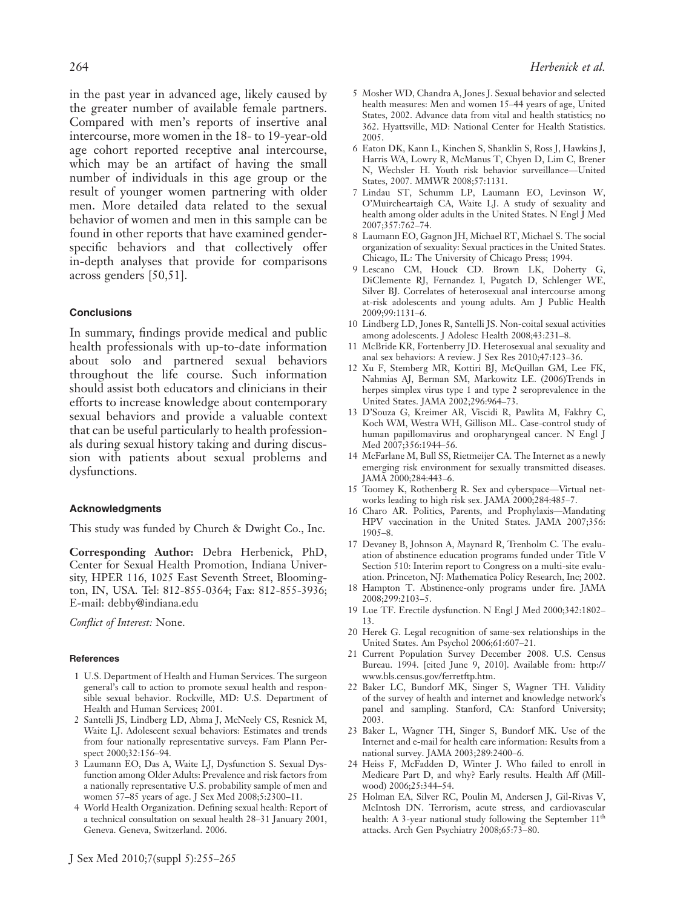in the past year in advanced age, likely caused by the greater number of available female partners. Compared with men's reports of insertive anal intercourse, more women in the 18- to 19-year-old age cohort reported receptive anal intercourse, which may be an artifact of having the small number of individuals in this age group or the result of younger women partnering with older men. More detailed data related to the sexual behavior of women and men in this sample can be found in other reports that have examined genderspecific behaviors and that collectively offer in-depth analyses that provide for comparisons across genders [50,51].

### **Conclusions**

In summary, findings provide medical and public health professionals with up-to-date information about solo and partnered sexual behaviors throughout the life course. Such information should assist both educators and clinicians in their efforts to increase knowledge about contemporary sexual behaviors and provide a valuable context that can be useful particularly to health professionals during sexual history taking and during discussion with patients about sexual problems and dysfunctions.

### **Acknowledgments**

This study was funded by Church & Dwight Co., Inc.

**Corresponding Author:** Debra Herbenick, PhD, Center for Sexual Health Promotion, Indiana University, HPER 116, 1025 East Seventh Street, Bloomington, IN, USA. Tel: 812-855-0364; Fax: 812-855-3936; E-mail: debby@indiana.edu

*Conflict of Interest:* None.

#### **References**

- 1 U.S. Department of Health and Human Services. The surgeon general's call to action to promote sexual health and responsible sexual behavior. Rockville, MD: U.S. Department of Health and Human Services; 2001.
- Santelli JS, Lindberg LD, Abma J, McNeely CS, Resnick M, Waite LJ. Adolescent sexual behaviors: Estimates and trends from four nationally representative surveys. Fam Plann Perspect 2000;32:156–94.
- 3 Laumann EO, Das A, Waite LJ, Dysfunction S. Sexual Dysfunction among Older Adults: Prevalence and risk factors from a nationally representative U.S. probability sample of men and women 57–85 years of age. J Sex Med 2008;5:2300–11.
- 4 World Health Organization. Defining sexual health: Report of a technical consultation on sexual health 28–31 January 2001, Geneva. Geneva, Switzerland. 2006.
- 5 Mosher WD, Chandra A, Jones J. Sexual behavior and selected health measures: Men and women 15–44 years of age, United States, 2002. Advance data from vital and health statistics; no 362. Hyattsville, MD: National Center for Health Statistics. 2005.
- 6 Eaton DK, Kann L, Kinchen S, Shanklin S, Ross J, Hawkins J, Harris WA, Lowry R, McManus T, Chyen D, Lim C, Brener N, Wechsler H. Youth risk behavior surveillance—United States, 2007. MMWR 2008;57:1131.
- 7 Lindau ST, Schumm LP, Laumann EO, Levinson W, O'Muircheartaigh CA, Waite LJ. A study of sexuality and health among older adults in the United States. N Engl J Med 2007;357:762–74.
- 8 Laumann EO, Gagnon JH, Michael RT, Michael S. The social organization of sexuality: Sexual practices in the United States. Chicago, IL: The University of Chicago Press; 1994.
- 9 Lescano CM, Houck CD. Brown LK, Doherty G, DiClemente RJ, Fernandez I, Pugatch D, Schlenger WE, Silver BJ. Correlates of heterosexual anal intercourse among at-risk adolescents and young adults. Am J Public Health 2009;99:1131–6.
- 10 Lindberg LD, Jones R, Santelli JS. Non-coital sexual activities among adolescents. J Adolesc Health 2008;43:231–8.
- 11 McBride KR, Fortenberry JD. Heterosexual anal sexuality and anal sex behaviors: A review. J Sex Res 2010;47:123–36.
- 12 Xu F, Stemberg MR, Kottiri BJ, McQuillan GM, Lee FK, Nahmias AJ, Berman SM, Markowitz LE. (2006)Trends in herpes simplex virus type 1 and type 2 seroprevalence in the United States. JAMA 2002;296:964–73.
- 13 D'Souza G, Kreimer AR, Viscidi R, Pawlita M, Fakhry C, Koch WM, Westra WH, Gillison ML. Case-control study of human papillomavirus and oropharyngeal cancer. N Engl J Med 2007;356:1944–56.
- 14 McFarlane M, Bull SS, Rietmeijer CA. The Internet as a newly emerging risk environment for sexually transmitted diseases. JAMA 2000;284:443–6.
- 15 Toomey K, Rothenberg R. Sex and cyberspace—Virtual networks leading to high risk sex. JAMA 2000;284:485–7.
- 16 Charo AR. Politics, Parents, and Prophylaxis—Mandating HPV vaccination in the United States. JAMA 2007;356: 1905–8.
- 17 Devaney B, Johnson A, Maynard R, Trenholm C. The evaluation of abstinence education programs funded under Title V Section 510: Interim report to Congress on a multi-site evaluation. Princeton, NJ: Mathematica Policy Research, Inc; 2002.
- 18 Hampton T. Abstinence-only programs under fire. JAMA 2008;299:2103–5.
- 19 Lue TF. Erectile dysfunction. N Engl J Med 2000;342:1802– 13.
- 20 Herek G. Legal recognition of same-sex relationships in the United States. Am Psychol 2006;61:607–21.
- 21 Current Population Survey December 2008. U.S. Census Bureau. 1994. [cited June 9, 2010]. Available from: http:// www.bls.census.gov/ferretftp.htm.
- 22 Baker LC, Bundorf MK, Singer S, Wagner TH. Validity of the survey of health and internet and knowledge network's panel and sampling. Stanford, CA: Stanford University; 2003.
- 23 Baker L, Wagner TH, Singer S, Bundorf MK. Use of the Internet and e-mail for health care information: Results from a national survey. JAMA 2003;289:2400–6.
- 24 Heiss F, McFadden D, Winter J. Who failed to enroll in Medicare Part D, and why? Early results. Health Aff (Millwood) 2006;25:344–54.
- 25 Holman EA, Silver RC, Poulin M, Andersen J, Gil-Rivas V, McIntosh DN. Terrorism, acute stress, and cardiovascular health: A 3-year national study following the September 11<sup>th</sup> attacks. Arch Gen Psychiatry 2008;65:73–80.